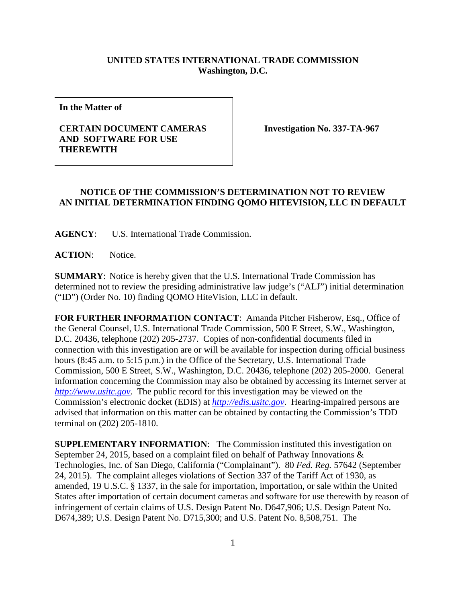## **UNITED STATES INTERNATIONAL TRADE COMMISSION Washington, D.C.**

**In the Matter of**

## **CERTAIN DOCUMENT CAMERAS AND SOFTWARE FOR USE THEREWITH**

**Investigation No. 337-TA-967**

## **NOTICE OF THE COMMISSION'S DETERMINATION NOT TO REVIEW AN INITIAL DETERMINATION FINDING QOMO HITEVISION, LLC IN DEFAULT**

**AGENCY**: U.S. International Trade Commission.

**ACTION**: Notice.

**SUMMARY**: Notice is hereby given that the U.S. International Trade Commission has determined not to review the presiding administrative law judge's ("ALJ") initial determination ("ID") (Order No. 10) finding QOMO HiteVision, LLC in default.

**FOR FURTHER INFORMATION CONTACT**: Amanda Pitcher Fisherow, Esq., Office of the General Counsel, U.S. International Trade Commission, 500 E Street, S.W., Washington, D.C. 20436, telephone (202) 205-2737. Copies of non-confidential documents filed in connection with this investigation are or will be available for inspection during official business hours (8:45 a.m. to 5:15 p.m.) in the Office of the Secretary, U.S. International Trade Commission, 500 E Street, S.W., Washington, D.C. 20436, telephone (202) 205-2000. General information concerning the Commission may also be obtained by accessing its Internet server at *[http://www.usitc.gov](http://www.usitc.gov/)*. The public record for this investigation may be viewed on the Commission's electronic docket (EDIS) at *[http://edis.usitc.gov](http://edis.usitc.gov/)*. Hearing-impaired persons are advised that information on this matter can be obtained by contacting the Commission's TDD terminal on (202) 205-1810.

**SUPPLEMENTARY INFORMATION**: The Commission instituted this investigation on September 24, 2015, based on a complaint filed on behalf of Pathway Innovations & Technologies, Inc. of San Diego, California ("Complainant"). 80 *Fed. Reg.* 57642 (September 24, 2015). The complaint alleges violations of Section 337 of the Tariff Act of 1930, as amended, 19 U.S.C. § 1337, in the sale for importation, importation, or sale within the United States after importation of certain document cameras and software for use therewith by reason of infringement of certain claims of U.S. Design Patent No. D647,906; U.S. Design Patent No. D674,389; U.S. Design Patent No. D715,300; and U.S. Patent No. 8,508,751. The